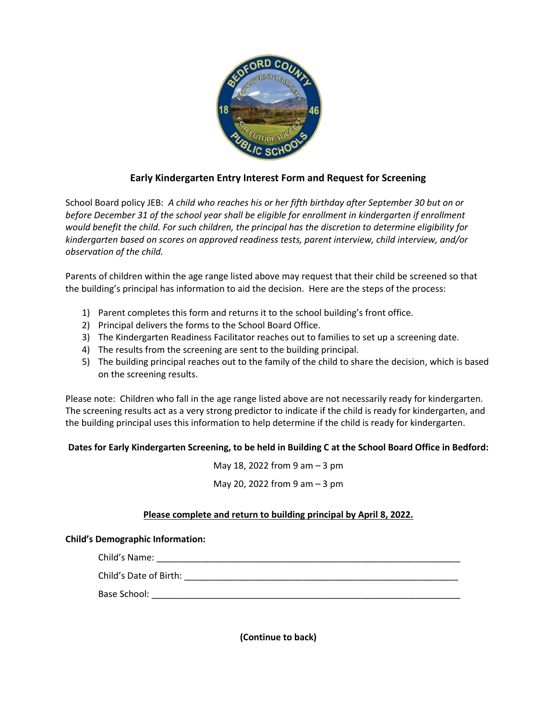

## **Early Kindergarten Entry Interest Form and Request for Screening**

School Board policy JEB: *A child who reaches his or her fifth birthday after September 30 but on or before December 31 of the school year shall be eligible for enrollment in kindergarten if enrollment would benefit the child. For such children, the principal has the discretion to determine eligibility for kindergarten based on scores on approved readiness tests, parent interview, child interview, and/or observation of the child.*

Parents of children within the age range listed above may request that their child be screened so that the building's principal has information to aid the decision. Here are the steps of the process:

- 1) Parent completes this form and returns it to the school building's front office.
- 2) Principal delivers the forms to the School Board Office.
- 3) The Kindergarten Readiness Facilitator reaches out to families to set up a screening date.
- 4) The results from the screening are sent to the building principal.
- 5) The building principal reaches out to the family of the child to share the decision, which is based on the screening results.

Please note: Children who fall in the age range listed above are not necessarily ready for kindergarten. The screening results act as a very strong predictor to indicate if the child is ready for kindergarten, and the building principal uses this information to help determine if the child is ready for kindergarten.

## **Dates for Early Kindergarten Screening, to be held in Building C at the School Board Office in Bedford:**

May 18, 2022 from 9 am – 3 pm May 20, 2022 from 9 am – 3 pm

## **Please complete and return to building principal by April 8, 2022.**

## **Child's Demographic Information:**

| Child's Name:          |  |
|------------------------|--|
| Child's Date of Birth: |  |
| Base School:           |  |
|                        |  |

**(Continue to back)**